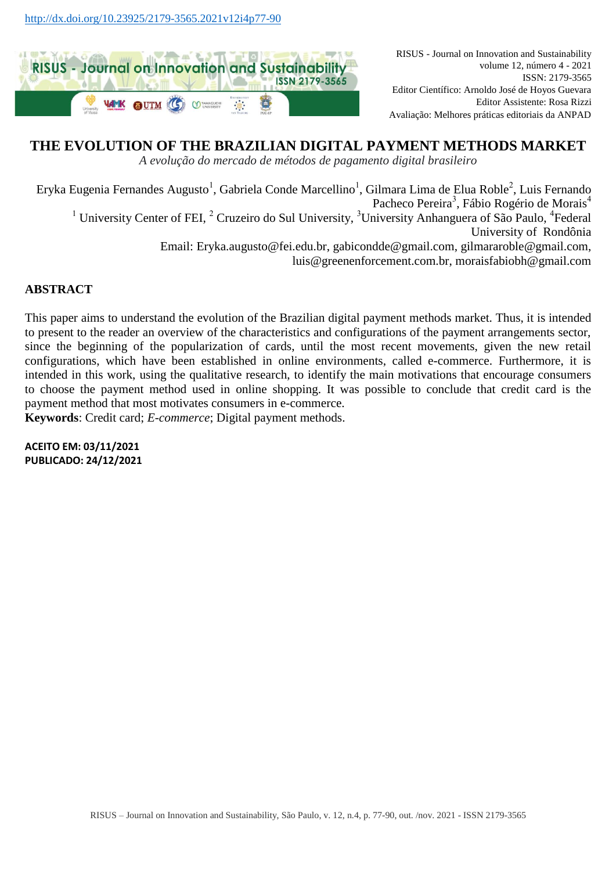

RISUS - Journal on Innovation and Sustainability volume 12, número 4 - 2021 ISSN: 2179-3565 Editor Científico: Arnoldo José de Hoyos Guevara Editor Assistente: Rosa Rizzi Avaliação: Melhores práticas editoriais da ANPAD

# **THE EVOLUTION OF THE BRAZILIAN DIGITAL PAYMENT METHODS MARKET**

*A evolução do mercado de métodos de pagamento digital brasileiro*

Eryka Eugenia Fernandes Augusto<sup>1</sup>, Gabriela Conde Marcellino<sup>1</sup>, Gilmara Lima de Elua Roble<sup>2</sup>, Luis Fernando Pacheco Pereira<sup>3</sup>, Fábio Rogério de Morais<sup>4</sup> <sup>1</sup> University Center of FEI, <sup>2</sup> Cruzeiro do Sul University, <sup>3</sup>University Anhanguera of São Paulo, <sup>4</sup>Federal University of Rondônia Email: [Eryka.augusto@fei.edu.br,](mailto:Eryka.augusto@fei.edu.br) [gabicondde@gmail.com,](mailto:gabicondde@gmail.com) [gilmararoble@gmail.com,](mailto:gilmararoble@gmail.com) [luis@greenenforcement.com.br,](mailto:luis@greenenforcement.com.br) [moraisfabiobh@gmail.com](mailto:moraisfabiobh@gmail.com)

## **ABSTRACT**

This paper aims to understand the evolution of the Brazilian digital payment methods market. Thus, it is intended to present to the reader an overview of the characteristics and configurations of the payment arrangements sector, since the beginning of the popularization of cards, until the most recent movements, given the new retail configurations, which have been established in online environments, called e-commerce. Furthermore, it is intended in this work, using the qualitative research, to identify the main motivations that encourage consumers to choose the payment method used in online shopping. It was possible to conclude that credit card is the payment method that most motivates consumers in e-commerce.

**Keywords**: Credit card; *E-commerce*; Digital payment methods.

**ACEITO EM: 03/11/2021 PUBLICADO: 24/12/2021**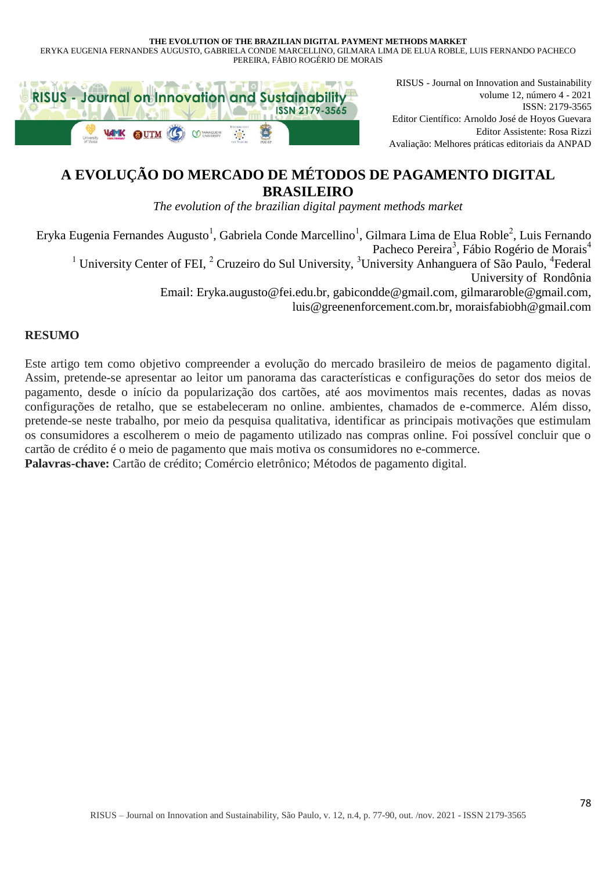ERYKA EUGENIA FERNANDES AUGUSTO, GABRIELA CONDE MARCELLINO, GILMARA LIMA DE ELUA ROBLE, LUIS FERNANDO PACHECO PEREIRA, FÁBIO ROGÉRIO DE MORAIS



RISUS - Journal on Innovation and Sustainability volume 12, número 4 - 2021 ISSN: 2179-3565 Editor Científico: Arnoldo José de Hoyos Guevara Editor Assistente: Rosa Rizzi Avaliação: Melhores práticas editoriais da ANPAD

# **A EVOLUÇÃO DO MERCADO DE MÉTODOS DE PAGAMENTO DIGITAL BRASILEIRO**

*The evolution of the brazilian digital payment methods market*

Eryka Eugenia Fernandes Augusto<sup>1</sup>, Gabriela Conde Marcellino<sup>1</sup>, Gilmara Lima de Elua Roble<sup>2</sup>, Luis Fernando Pacheco Pereira<sup>3</sup>, Fábio Rogério de Morais<sup>4</sup> <sup>1</sup> University Center of FEI,  ${}^{2}$  Cruzeiro do Sul University,  ${}^{3}$ University Anhanguera of São Paulo, <sup>4</sup>Federal University of Rondônia Email: [Eryka.augusto@fei.edu.br,](mailto:Eryka.augusto@fei.edu.br) [gabicondde@gmail.com,](mailto:gabicondde@gmail.com) [gilmararoble@gmail.com,](mailto:gilmararoble@gmail.com) [luis@greenenforcement.com.br,](mailto:luis@greenenforcement.com.br) [moraisfabiobh@gmail.com](mailto:moraisfabiobh@gmail.com)

# **RESUMO**

Este artigo tem como objetivo compreender a evolução do mercado brasileiro de meios de pagamento digital. Assim, pretende-se apresentar ao leitor um panorama das características e configurações do setor dos meios de pagamento, desde o início da popularização dos cartões, até aos movimentos mais recentes, dadas as novas configurações de retalho, que se estabeleceram no online. ambientes, chamados de e-commerce. Além disso, pretende-se neste trabalho, por meio da pesquisa qualitativa, identificar as principais motivações que estimulam os consumidores a escolherem o meio de pagamento utilizado nas compras online. Foi possível concluir que o cartão de crédito é o meio de pagamento que mais motiva os consumidores no e-commerce. **Palavras-chave:** Cartão de crédito; Comércio eletrônico; Métodos de pagamento digital.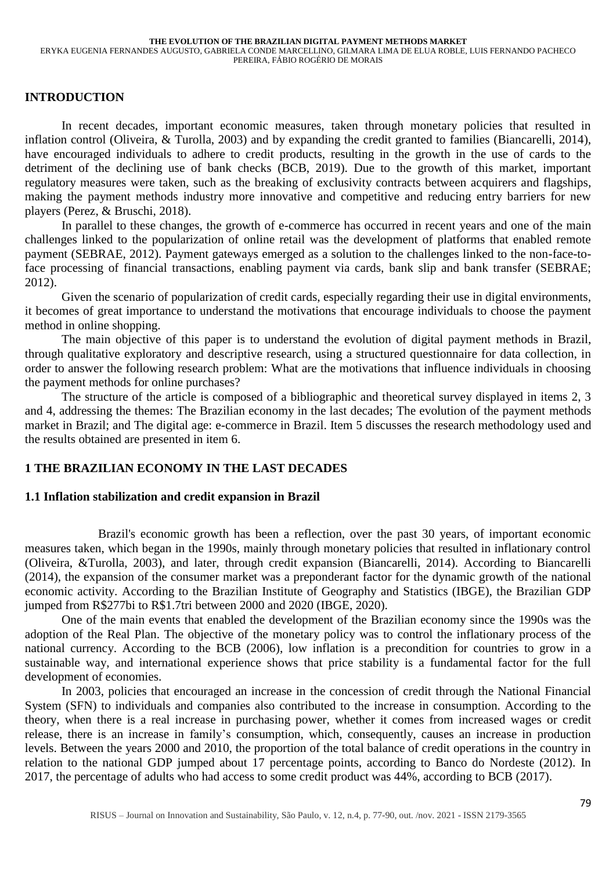# **INTRODUCTION**

In recent decades, important economic measures, taken through monetary policies that resulted in inflation control (Oliveira, & Turolla, 2003) and by expanding the credit granted to families (Biancarelli, 2014), have encouraged individuals to adhere to credit products, resulting in the growth in the use of cards to the detriment of the declining use of bank checks (BCB, 2019). Due to the growth of this market, important regulatory measures were taken, such as the breaking of exclusivity contracts between acquirers and flagships, making the payment methods industry more innovative and competitive and reducing entry barriers for new players (Perez, & Bruschi, 2018).

In parallel to these changes, the growth of e-commerce has occurred in recent years and one of the main challenges linked to the popularization of online retail was the development of platforms that enabled remote payment (SEBRAE, 2012). Payment gateways emerged as a solution to the challenges linked to the non-face-toface processing of financial transactions, enabling payment via cards, bank slip and bank transfer (SEBRAE; 2012).

Given the scenario of popularization of credit cards, especially regarding their use in digital environments, it becomes of great importance to understand the motivations that encourage individuals to choose the payment method in online shopping.

The main objective of this paper is to understand the evolution of digital payment methods in Brazil, through qualitative exploratory and descriptive research, using a structured questionnaire for data collection, in order to answer the following research problem: What are the motivations that influence individuals in choosing the payment methods for online purchases?

The structure of the article is composed of a bibliographic and theoretical survey displayed in items 2, 3 and 4, addressing the themes: The Brazilian economy in the last decades; The evolution of the payment methods market in Brazil; and The digital age: e-commerce in Brazil. Item 5 discusses the research methodology used and the results obtained are presented in item 6.

### **1 THE BRAZILIAN ECONOMY IN THE LAST DECADES**

### **1.1 Inflation stabilization and credit expansion in Brazil**

Brazil's economic growth has been a reflection, over the past 30 years, of important economic measures taken, which began in the 1990s, mainly through monetary policies that resulted in inflationary control (Oliveira, &Turolla, 2003), and later, through credit expansion (Biancarelli, 2014). According to Biancarelli (2014), the expansion of the consumer market was a preponderant factor for the dynamic growth of the national economic activity. According to the Brazilian Institute of Geography and Statistics (IBGE), the Brazilian GDP jumped from R\$277bi to R\$1.7tri between 2000 and 2020 (IBGE, 2020).

One of the main events that enabled the development of the Brazilian economy since the 1990s was the adoption of the Real Plan. The objective of the monetary policy was to control the inflationary process of the national currency. According to the BCB (2006), low inflation is a precondition for countries to grow in a sustainable way, and international experience shows that price stability is a fundamental factor for the full development of economies.

In 2003, policies that encouraged an increase in the concession of credit through the National Financial System (SFN) to individuals and companies also contributed to the increase in consumption. According to the theory, when there is a real increase in purchasing power, whether it comes from increased wages or credit release, there is an increase in family's consumption, which, consequently, causes an increase in production levels. Between the years 2000 and 2010, the proportion of the total balance of credit operations in the country in relation to the national GDP jumped about 17 percentage points, according to Banco do Nordeste (2012). In 2017, the percentage of adults who had access to some credit product was 44%, according to BCB (2017).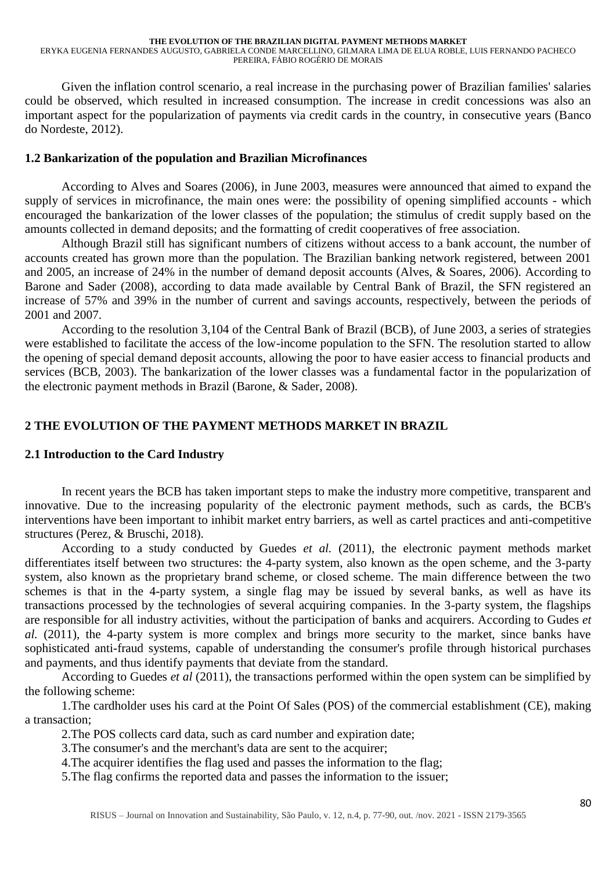ERYKA EUGENIA FERNANDES AUGUSTO, GABRIELA CONDE MARCELLINO, GILMARA LIMA DE ELUA ROBLE, LUIS FERNANDO PACHECO PEREIRA, FÁBIO ROGÉRIO DE MORAIS

Given the inflation control scenario, a real increase in the purchasing power of Brazilian families' salaries could be observed, which resulted in increased consumption. The increase in credit concessions was also an important aspect for the popularization of payments via credit cards in the country, in consecutive years (Banco do Nordeste, 2012).

### **1.2 Bankarization of the population and Brazilian Microfinances**

According to Alves and Soares (2006), in June 2003, measures were announced that aimed to expand the supply of services in microfinance, the main ones were: the possibility of opening simplified accounts - which encouraged the bankarization of the lower classes of the population; the stimulus of credit supply based on the amounts collected in demand deposits; and the formatting of credit cooperatives of free association.

Although Brazil still has significant numbers of citizens without access to a bank account, the number of accounts created has grown more than the population. The Brazilian banking network registered, between 2001 and 2005, an increase of 24% in the number of demand deposit accounts (Alves, & Soares, 2006). According to Barone and Sader (2008), according to data made available by Central Bank of Brazil, the SFN registered an increase of 57% and 39% in the number of current and savings accounts, respectively, between the periods of 2001 and 2007.

According to the resolution 3,104 of the Central Bank of Brazil (BCB), of June 2003, a series of strategies were established to facilitate the access of the low-income population to the SFN. The resolution started to allow the opening of special demand deposit accounts, allowing the poor to have easier access to financial products and services (BCB, 2003). The bankarization of the lower classes was a fundamental factor in the popularization of the electronic payment methods in Brazil (Barone, & Sader, 2008).

## **2 THE EVOLUTION OF THE PAYMENT METHODS MARKET IN BRAZIL**

### **2.1 Introduction to the Card Industry**

In recent years the BCB has taken important steps to make the industry more competitive, transparent and innovative. Due to the increasing popularity of the electronic payment methods, such as cards, the BCB's interventions have been important to inhibit market entry barriers, as well as cartel practices and anti-competitive structures (Perez, & Bruschi, 2018).

According to a study conducted by Guedes *et al.* (2011), the electronic payment methods market differentiates itself between two structures: the 4-party system, also known as the open scheme, and the 3-party system, also known as the proprietary brand scheme, or closed scheme. The main difference between the two schemes is that in the 4-party system, a single flag may be issued by several banks, as well as have its transactions processed by the technologies of several acquiring companies. In the 3-party system, the flagships are responsible for all industry activities, without the participation of banks and acquirers. According to Gudes *et al.* (2011), the 4-party system is more complex and brings more security to the market, since banks have sophisticated anti-fraud systems, capable of understanding the consumer's profile through historical purchases and payments, and thus identify payments that deviate from the standard.

According to Guedes *et al* (2011), the transactions performed within the open system can be simplified by the following scheme:

1.The cardholder uses his card at the Point Of Sales (POS) of the commercial establishment (CE), making a transaction;

2.The POS collects card data, such as card number and expiration date;

3.The consumer's and the merchant's data are sent to the acquirer;

4.The acquirer identifies the flag used and passes the information to the flag;

5.The flag confirms the reported data and passes the information to the issuer;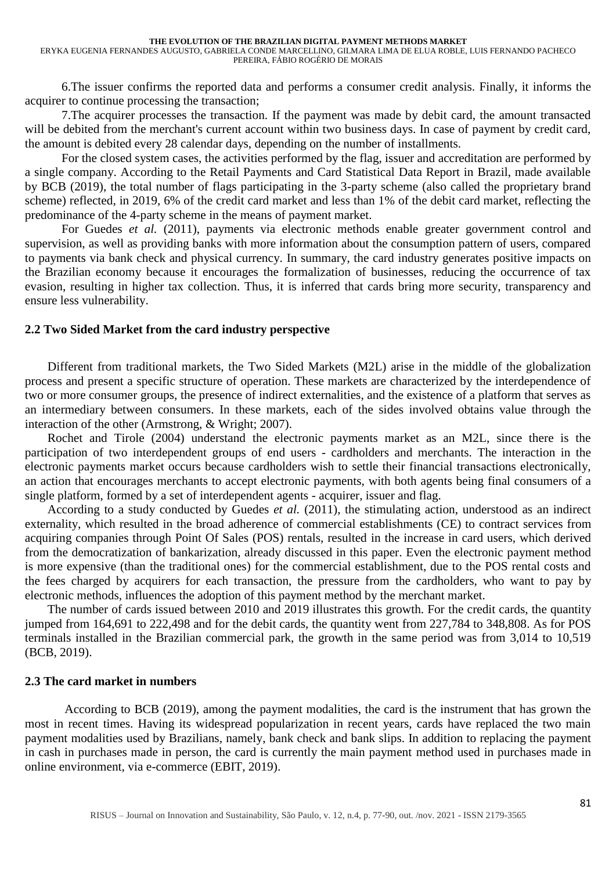ERYKA EUGENIA FERNANDES AUGUSTO, GABRIELA CONDE MARCELLINO, GILMARA LIMA DE ELUA ROBLE, LUIS FERNANDO PACHECO PEREIRA, FÁBIO ROGÉRIO DE MORAIS

6.The issuer confirms the reported data and performs a consumer credit analysis. Finally, it informs the acquirer to continue processing the transaction;

7.The acquirer processes the transaction. If the payment was made by debit card, the amount transacted will be debited from the merchant's current account within two business days. In case of payment by credit card, the amount is debited every 28 calendar days, depending on the number of installments.

For the closed system cases, the activities performed by the flag, issuer and accreditation are performed by a single company. According to the Retail Payments and Card Statistical Data Report in Brazil, made available by BCB (2019), the total number of flags participating in the 3-party scheme (also called the proprietary brand scheme) reflected, in 2019, 6% of the credit card market and less than 1% of the debit card market, reflecting the predominance of the 4-party scheme in the means of payment market.

For Guedes *et al.* (2011), payments via electronic methods enable greater government control and supervision, as well as providing banks with more information about the consumption pattern of users, compared to payments via bank check and physical currency. In summary, the card industry generates positive impacts on the Brazilian economy because it encourages the formalization of businesses, reducing the occurrence of tax evasion, resulting in higher tax collection. Thus, it is inferred that cards bring more security, transparency and ensure less vulnerability.

#### **2.2 Two Sided Market from the card industry perspective**

Different from traditional markets, the Two Sided Markets (M2L) arise in the middle of the globalization process and present a specific structure of operation. These markets are characterized by the interdependence of two or more consumer groups, the presence of indirect externalities, and the existence of a platform that serves as an intermediary between consumers. In these markets, each of the sides involved obtains value through the interaction of the other (Armstrong, & Wright; 2007).

Rochet and Tirole (2004) understand the electronic payments market as an M2L, since there is the participation of two interdependent groups of end users - cardholders and merchants. The interaction in the electronic payments market occurs because cardholders wish to settle their financial transactions electronically, an action that encourages merchants to accept electronic payments, with both agents being final consumers of a single platform, formed by a set of interdependent agents - acquirer, issuer and flag.

According to a study conducted by Guedes *et al.* (2011), the stimulating action, understood as an indirect externality, which resulted in the broad adherence of commercial establishments (CE) to contract services from acquiring companies through Point Of Sales (POS) rentals, resulted in the increase in card users, which derived from the democratization of bankarization, already discussed in this paper. Even the electronic payment method is more expensive (than the traditional ones) for the commercial establishment, due to the POS rental costs and the fees charged by acquirers for each transaction, the pressure from the cardholders, who want to pay by electronic methods, influences the adoption of this payment method by the merchant market.

The number of cards issued between 2010 and 2019 illustrates this growth. For the credit cards, the quantity jumped from 164,691 to 222,498 and for the debit cards, the quantity went from 227,784 to 348,808. As for POS terminals installed in the Brazilian commercial park, the growth in the same period was from 3,014 to 10,519 (BCB, 2019).

#### **2.3 The card market in numbers**

According to BCB (2019), among the payment modalities, the card is the instrument that has grown the most in recent times. Having its widespread popularization in recent years, cards have replaced the two main payment modalities used by Brazilians, namely, bank check and bank slips. In addition to replacing the payment in cash in purchases made in person, the card is currently the main payment method used in purchases made in online environment, via e-commerce (EBIT, 2019).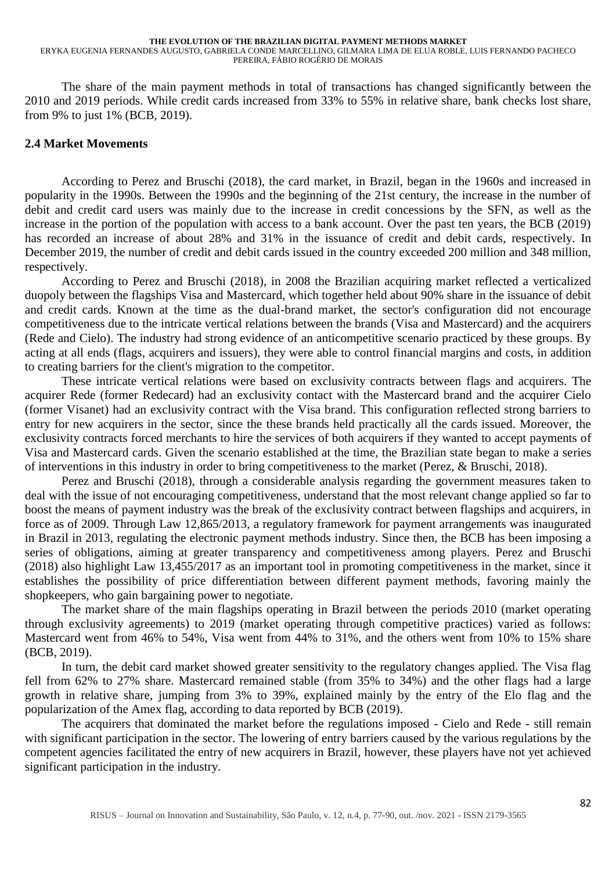ERYKA EUGENIA FERNANDES AUGUSTO, GABRIELA CONDE MARCELLINO, GILMARA LIMA DE ELUA ROBLE, LUIS FERNANDO PACHECO PEREIRA, FÁBIO ROGÉRIO DE MORAIS

The share of the main payment methods in total of transactions has changed significantly between the 2010 and 2019 periods. While credit cards increased from 33% to 55% in relative share, bank checks lost share, from 9% to just 1% (BCB, 2019).

### **2.4 Market Movements**

According to Perez and Bruschi (2018), the card market, in Brazil, began in the 1960s and increased in popularity in the 1990s. Between the 1990s and the beginning of the 21st century, the increase in the number of debit and credit card users was mainly due to the increase in credit concessions by the SFN, as well as the increase in the portion of the population with access to a bank account. Over the past ten years, the BCB (2019) has recorded an increase of about 28% and 31% in the issuance of credit and debit cards, respectively. In December 2019, the number of credit and debit cards issued in the country exceeded 200 million and 348 million, respectively.

According to Perez and Bruschi (2018), in 2008 the Brazilian acquiring market reflected a verticalized duopoly between the flagships Visa and Mastercard, which together held about 90% share in the issuance of debit and credit cards. Known at the time as the dual-brand market, the sector's configuration did not encourage competitiveness due to the intricate vertical relations between the brands (Visa and Mastercard) and the acquirers (Rede and Cielo). The industry had strong evidence of an anticompetitive scenario practiced by these groups. By acting at all ends (flags, acquirers and issuers), they were able to control financial margins and costs, in addition to creating barriers for the client's migration to the competitor.

These intricate vertical relations were based on exclusivity contracts between flags and acquirers. The acquirer Rede (former Redecard) had an exclusivity contact with the Mastercard brand and the acquirer Cielo (former Visanet) had an exclusivity contract with the Visa brand. This configuration reflected strong barriers to entry for new acquirers in the sector, since the these brands held practically all the cards issued. Moreover, the exclusivity contracts forced merchants to hire the services of both acquirers if they wanted to accept payments of Visa and Mastercard cards. Given the scenario established at the time, the Brazilian state began to make a series of interventions in this industry in order to bring competitiveness to the market (Perez, & Bruschi, 2018).

Perez and Bruschi (2018), through a considerable analysis regarding the government measures taken to deal with the issue of not encouraging competitiveness, understand that the most relevant change applied so far to boost the means of payment industry was the break of the exclusivity contract between flagships and acquirers, in force as of 2009. Through Law 12,865/2013, a regulatory framework for payment arrangements was inaugurated in Brazil in 2013, regulating the electronic payment methods industry. Since then, the BCB has been imposing a series of obligations, aiming at greater transparency and competitiveness among players. Perez and Bruschi (2018) also highlight Law 13,455/2017 as an important tool in promoting competitiveness in the market, since it establishes the possibility of price differentiation between different payment methods, favoring mainly the shopkeepers, who gain bargaining power to negotiate.

The market share of the main flagships operating in Brazil between the periods 2010 (market operating through exclusivity agreements) to 2019 (market operating through competitive practices) varied as follows: Mastercard went from 46% to 54%, Visa went from 44% to 31%, and the others went from 10% to 15% share (BCB, 2019).

In turn, the debit card market showed greater sensitivity to the regulatory changes applied. The Visa flag fell from 62% to 27% share. Mastercard remained stable (from 35% to 34%) and the other flags had a large growth in relative share, jumping from 3% to 39%, explained mainly by the entry of the Elo flag and the popularization of the Amex flag, according to data reported by BCB (2019).

The acquirers that dominated the market before the regulations imposed - Cielo and Rede - still remain with significant participation in the sector. The lowering of entry barriers caused by the various regulations by the competent agencies facilitated the entry of new acquirers in Brazil, however, these players have not yet achieved significant participation in the industry.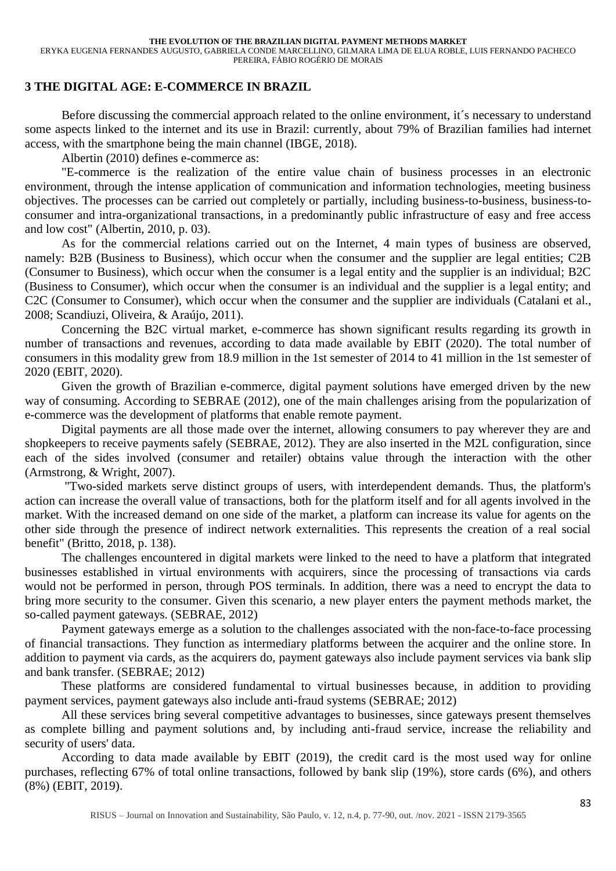ERYKA EUGENIA FERNANDES AUGUSTO, GABRIELA CONDE MARCELLINO, GILMARA LIMA DE ELUA ROBLE, LUIS FERNANDO PACHECO PEREIRA, FÁBIO ROGÉRIO DE MORAIS

### **3 THE DIGITAL AGE: E-COMMERCE IN BRAZIL**

Before discussing the commercial approach related to the online environment, it's necessary to understand some aspects linked to the internet and its use in Brazil: currently, about 79% of Brazilian families had internet access, with the smartphone being the main channel (IBGE, 2018).

Albertin (2010) defines e-commerce as:

"E-commerce is the realization of the entire value chain of business processes in an electronic environment, through the intense application of communication and information technologies, meeting business objectives. The processes can be carried out completely or partially, including business-to-business, business-toconsumer and intra-organizational transactions, in a predominantly public infrastructure of easy and free access and low cost" (Albertin, 2010, p. 03).

As for the commercial relations carried out on the Internet, 4 main types of business are observed, namely: B2B (Business to Business), which occur when the consumer and the supplier are legal entities; C2B (Consumer to Business), which occur when the consumer is a legal entity and the supplier is an individual; B2C (Business to Consumer), which occur when the consumer is an individual and the supplier is a legal entity; and C2C (Consumer to Consumer), which occur when the consumer and the supplier are individuals (Catalani et al., 2008; Scandiuzi, Oliveira, & Araújo, 2011).

Concerning the B2C virtual market, e-commerce has shown significant results regarding its growth in number of transactions and revenues, according to data made available by EBIT (2020). The total number of consumers in this modality grew from 18.9 million in the 1st semester of 2014 to 41 million in the 1st semester of 2020 (EBIT, 2020).

Given the growth of Brazilian e-commerce, digital payment solutions have emerged driven by the new way of consuming. According to SEBRAE (2012), one of the main challenges arising from the popularization of e-commerce was the development of platforms that enable remote payment.

Digital payments are all those made over the internet, allowing consumers to pay wherever they are and shopkeepers to receive payments safely (SEBRAE, 2012). They are also inserted in the M2L configuration, since each of the sides involved (consumer and retailer) obtains value through the interaction with the other (Armstrong, & Wright, 2007).

"Two-sided markets serve distinct groups of users, with interdependent demands. Thus, the platform's action can increase the overall value of transactions, both for the platform itself and for all agents involved in the market. With the increased demand on one side of the market, a platform can increase its value for agents on the other side through the presence of indirect network externalities. This represents the creation of a real social benefit" (Britto, 2018, p. 138).

The challenges encountered in digital markets were linked to the need to have a platform that integrated businesses established in virtual environments with acquirers, since the processing of transactions via cards would not be performed in person, through POS terminals. In addition, there was a need to encrypt the data to bring more security to the consumer. Given this scenario, a new player enters the payment methods market, the so-called payment gateways. (SEBRAE, 2012)

Payment gateways emerge as a solution to the challenges associated with the non-face-to-face processing of financial transactions. They function as intermediary platforms between the acquirer and the online store. In addition to payment via cards, as the acquirers do, payment gateways also include payment services via bank slip and bank transfer. (SEBRAE; 2012)

These platforms are considered fundamental to virtual businesses because, in addition to providing payment services, payment gateways also include anti-fraud systems (SEBRAE; 2012)

All these services bring several competitive advantages to businesses, since gateways present themselves as complete billing and payment solutions and, by including anti-fraud service, increase the reliability and security of users' data.

According to data made available by EBIT (2019), the credit card is the most used way for online purchases, reflecting 67% of total online transactions, followed by bank slip (19%), store cards (6%), and others (8%) (EBIT, 2019).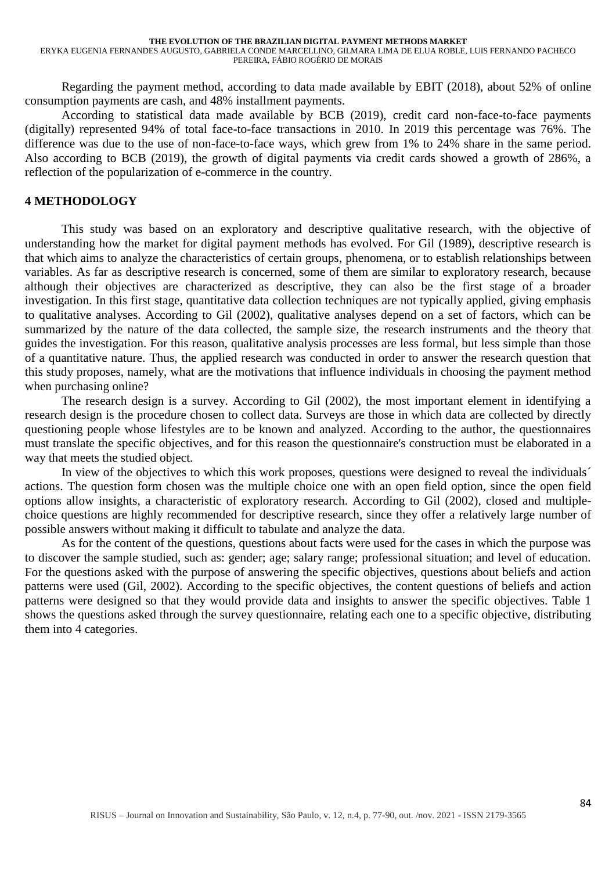ERYKA EUGENIA FERNANDES AUGUSTO, GABRIELA CONDE MARCELLINO, GILMARA LIMA DE ELUA ROBLE, LUIS FERNANDO PACHECO PEREIRA, FÁBIO ROGÉRIO DE MORAIS

Regarding the payment method, according to data made available by EBIT (2018), about 52% of online consumption payments are cash, and 48% installment payments.

According to statistical data made available by BCB (2019), credit card non-face-to-face payments (digitally) represented 94% of total face-to-face transactions in 2010. In 2019 this percentage was 76%. The difference was due to the use of non-face-to-face ways, which grew from 1% to 24% share in the same period. Also according to BCB (2019), the growth of digital payments via credit cards showed a growth of 286%, a reflection of the popularization of e-commerce in the country.

### **4 METHODOLOGY**

This study was based on an exploratory and descriptive qualitative research, with the objective of understanding how the market for digital payment methods has evolved. For Gil (1989), descriptive research is that which aims to analyze the characteristics of certain groups, phenomena, or to establish relationships between variables. As far as descriptive research is concerned, some of them are similar to exploratory research, because although their objectives are characterized as descriptive, they can also be the first stage of a broader investigation. In this first stage, quantitative data collection techniques are not typically applied, giving emphasis to qualitative analyses. According to Gil (2002), qualitative analyses depend on a set of factors, which can be summarized by the nature of the data collected, the sample size, the research instruments and the theory that guides the investigation. For this reason, qualitative analysis processes are less formal, but less simple than those of a quantitative nature. Thus, the applied research was conducted in order to answer the research question that this study proposes, namely, what are the motivations that influence individuals in choosing the payment method when purchasing online?

The research design is a survey. According to Gil (2002), the most important element in identifying a research design is the procedure chosen to collect data. Surveys are those in which data are collected by directly questioning people whose lifestyles are to be known and analyzed. According to the author, the questionnaires must translate the specific objectives, and for this reason the questionnaire's construction must be elaborated in a way that meets the studied object.

In view of the objectives to which this work proposes, questions were designed to reveal the individuals' actions. The question form chosen was the multiple choice one with an open field option, since the open field options allow insights, a characteristic of exploratory research. According to Gil (2002), closed and multiplechoice questions are highly recommended for descriptive research, since they offer a relatively large number of possible answers without making it difficult to tabulate and analyze the data.

As for the content of the questions, questions about facts were used for the cases in which the purpose was to discover the sample studied, such as: gender; age; salary range; professional situation; and level of education. For the questions asked with the purpose of answering the specific objectives, questions about beliefs and action patterns were used (Gil, 2002). According to the specific objectives, the content questions of beliefs and action patterns were designed so that they would provide data and insights to answer the specific objectives. Table 1 shows the questions asked through the survey questionnaire, relating each one to a specific objective, distributing them into 4 categories.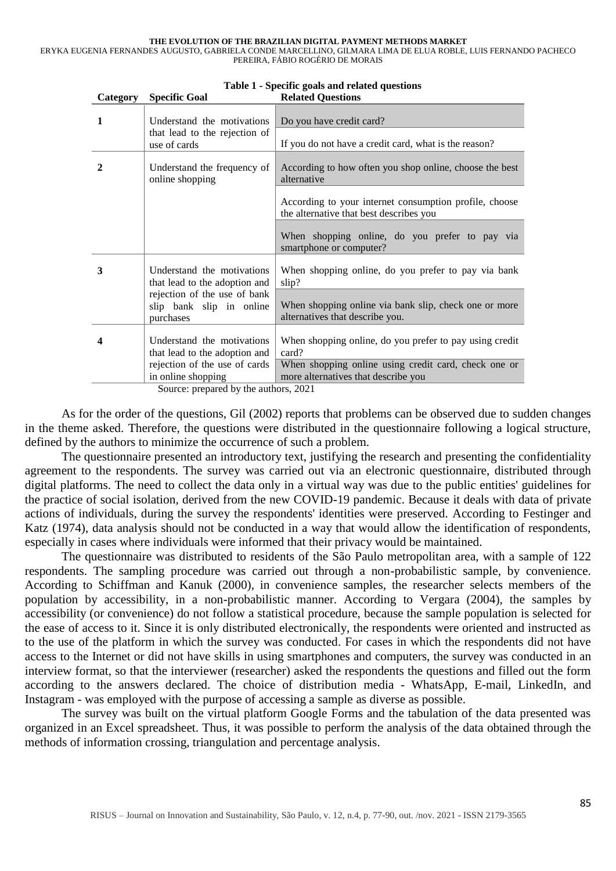ERYKA EUGENIA FERNANDES AUGUSTO, GABRIELA CONDE MARCELLINO, GILMARA LIMA DE ELUA ROBLE, LUIS FERNANDO PACHECO PEREIRA, FÁBIO ROGÉRIO DE MORAIS

| $\sim$ $\sim$ $\sim$ $\sim$ $\sim$ | <b>Openie</b> Opan                                                    |                                                                                                   |
|------------------------------------|-----------------------------------------------------------------------|---------------------------------------------------------------------------------------------------|
| 1                                  | Understand the motivations                                            | Do you have credit card?                                                                          |
|                                    | that lead to the rejection of<br>use of cards                         | If you do not have a credit card, what is the reason?                                             |
| 2                                  | Understand the frequency of<br>online shopping                        | According to how often you shop online, choose the best<br>alternative                            |
|                                    |                                                                       | According to your internet consumption profile, choose<br>the alternative that best describes you |
|                                    |                                                                       | When shopping online, do you prefer to pay via<br>smartphone or computer?                         |
| 3                                  | Understand the motivations<br>that lead to the adoption and           | When shopping online, do you prefer to pay via bank<br>slip?                                      |
|                                    | rejection of the use of bank<br>slip bank slip in online<br>purchases | When shopping online via bank slip, check one or more<br>alternatives that describe you.          |
| 4                                  | Understand the motivations<br>that lead to the adoption and           | When shopping online, do you prefer to pay using credit<br>card?                                  |
|                                    | rejection of the use of cards<br>in online shopping                   | When shopping online using credit card, check one or<br>more alternatives that describe you       |

**Table 1 - Specific goals and related questions**

Source: prepared by the authors, 2021

 $C_{\text{afegory}}$  **Specific Goal** 

As for the order of the questions, Gil (2002) reports that problems can be observed due to sudden changes in the theme asked. Therefore, the questions were distributed in the questionnaire following a logical structure, defined by the authors to minimize the occurrence of such a problem.

The questionnaire presented an introductory text, justifying the research and presenting the confidentiality agreement to the respondents. The survey was carried out via an electronic questionnaire, distributed through digital platforms. The need to collect the data only in a virtual way was due to the public entities' guidelines for the practice of social isolation, derived from the new COVID-19 pandemic. Because it deals with data of private actions of individuals, during the survey the respondents' identities were preserved. According to Festinger and Katz (1974), data analysis should not be conducted in a way that would allow the identification of respondents, especially in cases where individuals were informed that their privacy would be maintained.

The questionnaire was distributed to residents of the São Paulo metropolitan area, with a sample of 122 respondents. The sampling procedure was carried out through a non-probabilistic sample, by convenience. According to Schiffman and Kanuk (2000), in convenience samples, the researcher selects members of the population by accessibility, in a non-probabilistic manner. According to Vergara (2004), the samples by accessibility (or convenience) do not follow a statistical procedure, because the sample population is selected for the ease of access to it. Since it is only distributed electronically, the respondents were oriented and instructed as to the use of the platform in which the survey was conducted. For cases in which the respondents did not have access to the Internet or did not have skills in using smartphones and computers, the survey was conducted in an interview format, so that the interviewer (researcher) asked the respondents the questions and filled out the form according to the answers declared. The choice of distribution media - WhatsApp, E-mail, LinkedIn, and Instagram - was employed with the purpose of accessing a sample as diverse as possible.

The survey was built on the virtual platform Google Forms and the tabulation of the data presented was organized in an Excel spreadsheet. Thus, it was possible to perform the analysis of the data obtained through the methods of information crossing, triangulation and percentage analysis.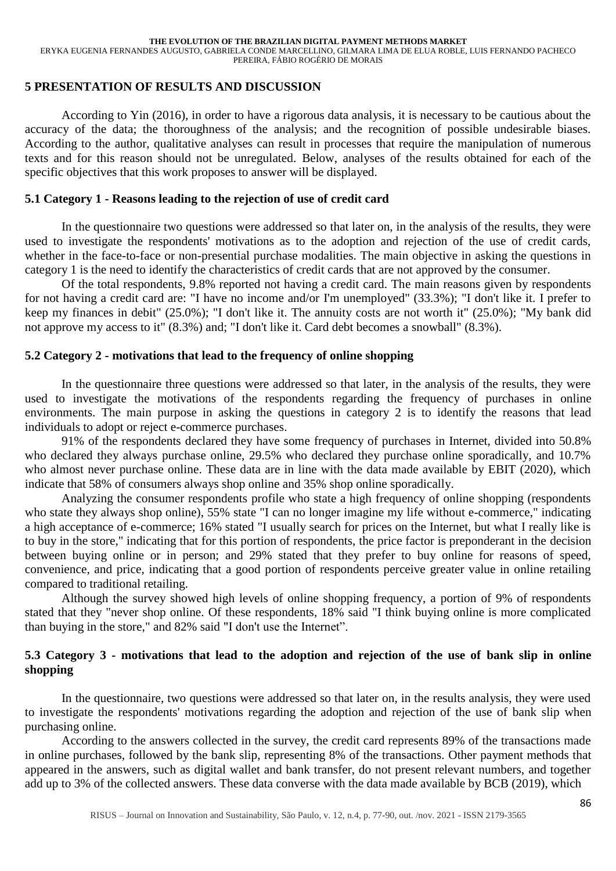ERYKA EUGENIA FERNANDES AUGUSTO, GABRIELA CONDE MARCELLINO, GILMARA LIMA DE ELUA ROBLE, LUIS FERNANDO PACHECO PEREIRA, FÁBIO ROGÉRIO DE MORAIS

### **5 PRESENTATION OF RESULTS AND DISCUSSION**

According to Yin (2016), in order to have a rigorous data analysis, it is necessary to be cautious about the accuracy of the data; the thoroughness of the analysis; and the recognition of possible undesirable biases. According to the author, qualitative analyses can result in processes that require the manipulation of numerous texts and for this reason should not be unregulated. Below, analyses of the results obtained for each of the specific objectives that this work proposes to answer will be displayed.

### **5.1 Category 1 - Reasons leading to the rejection of use of credit card**

In the questionnaire two questions were addressed so that later on, in the analysis of the results, they were used to investigate the respondents' motivations as to the adoption and rejection of the use of credit cards, whether in the face-to-face or non-presential purchase modalities. The main objective in asking the questions in category 1 is the need to identify the characteristics of credit cards that are not approved by the consumer.

Of the total respondents, 9.8% reported not having a credit card. The main reasons given by respondents for not having a credit card are: "I have no income and/or I'm unemployed" (33.3%); "I don't like it. I prefer to keep my finances in debit" (25.0%); "I don't like it. The annuity costs are not worth it" (25.0%); "My bank did not approve my access to it" (8.3%) and; "I don't like it. Card debt becomes a snowball" (8.3%).

### **5.2 Category 2 - motivations that lead to the frequency of online shopping**

In the questionnaire three questions were addressed so that later, in the analysis of the results, they were used to investigate the motivations of the respondents regarding the frequency of purchases in online environments. The main purpose in asking the questions in category 2 is to identify the reasons that lead individuals to adopt or reject e-commerce purchases.

91% of the respondents declared they have some frequency of purchases in Internet, divided into 50.8% who declared they always purchase online, 29.5% who declared they purchase online sporadically, and 10.7% who almost never purchase online. These data are in line with the data made available by EBIT (2020), which indicate that 58% of consumers always shop online and 35% shop online sporadically.

Analyzing the consumer respondents profile who state a high frequency of online shopping (respondents who state they always shop online), 55% state "I can no longer imagine my life without e-commerce," indicating a high acceptance of e-commerce; 16% stated "I usually search for prices on the Internet, but what I really like is to buy in the store," indicating that for this portion of respondents, the price factor is preponderant in the decision between buying online or in person; and 29% stated that they prefer to buy online for reasons of speed, convenience, and price, indicating that a good portion of respondents perceive greater value in online retailing compared to traditional retailing.

Although the survey showed high levels of online shopping frequency, a portion of 9% of respondents stated that they "never shop online. Of these respondents, 18% said "I think buying online is more complicated than buying in the store," and 82% said "I don't use the Internet".

# **5.3 Category 3 - motivations that lead to the adoption and rejection of the use of bank slip in online shopping**

In the questionnaire, two questions were addressed so that later on, in the results analysis, they were used to investigate the respondents' motivations regarding the adoption and rejection of the use of bank slip when purchasing online.

According to the answers collected in the survey, the credit card represents 89% of the transactions made in online purchases, followed by the bank slip, representing 8% of the transactions. Other payment methods that appeared in the answers, such as digital wallet and bank transfer, do not present relevant numbers, and together add up to 3% of the collected answers. These data converse with the data made available by BCB (2019), which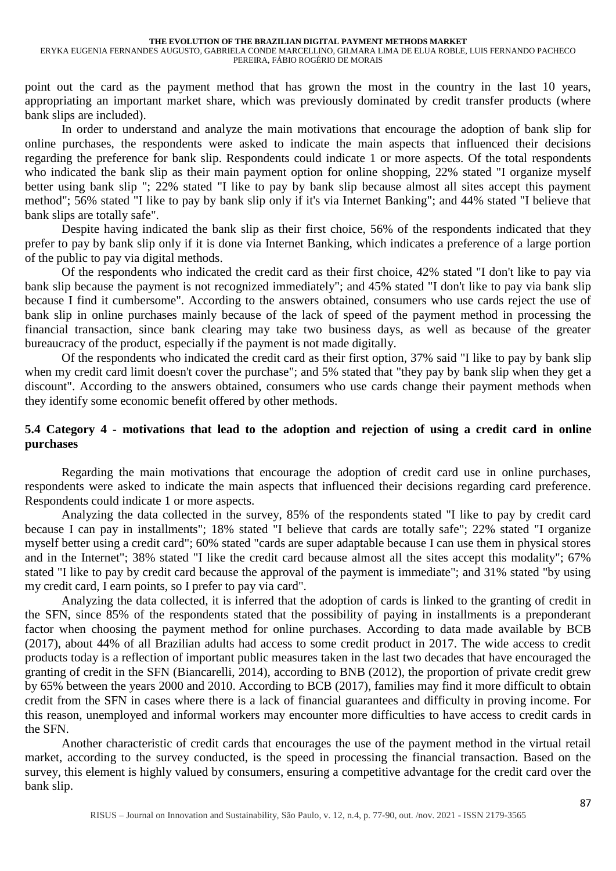point out the card as the payment method that has grown the most in the country in the last 10 years, appropriating an important market share, which was previously dominated by credit transfer products (where bank slips are included).

In order to understand and analyze the main motivations that encourage the adoption of bank slip for online purchases, the respondents were asked to indicate the main aspects that influenced their decisions regarding the preference for bank slip. Respondents could indicate 1 or more aspects. Of the total respondents who indicated the bank slip as their main payment option for online shopping, 22% stated "I organize myself better using bank slip "; 22% stated "I like to pay by bank slip because almost all sites accept this payment method"; 56% stated "I like to pay by bank slip only if it's via Internet Banking"; and 44% stated "I believe that bank slips are totally safe".

Despite having indicated the bank slip as their first choice, 56% of the respondents indicated that they prefer to pay by bank slip only if it is done via Internet Banking, which indicates a preference of a large portion of the public to pay via digital methods.

Of the respondents who indicated the credit card as their first choice, 42% stated "I don't like to pay via bank slip because the payment is not recognized immediately"; and 45% stated "I don't like to pay via bank slip because I find it cumbersome". According to the answers obtained, consumers who use cards reject the use of bank slip in online purchases mainly because of the lack of speed of the payment method in processing the financial transaction, since bank clearing may take two business days, as well as because of the greater bureaucracy of the product, especially if the payment is not made digitally.

Of the respondents who indicated the credit card as their first option, 37% said "I like to pay by bank slip when my credit card limit doesn't cover the purchase"; and 5% stated that "they pay by bank slip when they get a discount". According to the answers obtained, consumers who use cards change their payment methods when they identify some economic benefit offered by other methods.

## **5.4 Category 4 - motivations that lead to the adoption and rejection of using a credit card in online purchases**

Regarding the main motivations that encourage the adoption of credit card use in online purchases, respondents were asked to indicate the main aspects that influenced their decisions regarding card preference. Respondents could indicate 1 or more aspects.

Analyzing the data collected in the survey, 85% of the respondents stated "I like to pay by credit card because I can pay in installments"; 18% stated "I believe that cards are totally safe"; 22% stated "I organize myself better using a credit card"; 60% stated "cards are super adaptable because I can use them in physical stores and in the Internet"; 38% stated "I like the credit card because almost all the sites accept this modality"; 67% stated "I like to pay by credit card because the approval of the payment is immediate"; and 31% stated "by using my credit card, I earn points, so I prefer to pay via card".

Analyzing the data collected, it is inferred that the adoption of cards is linked to the granting of credit in the SFN, since 85% of the respondents stated that the possibility of paying in installments is a preponderant factor when choosing the payment method for online purchases. According to data made available by BCB (2017), about 44% of all Brazilian adults had access to some credit product in 2017. The wide access to credit products today is a reflection of important public measures taken in the last two decades that have encouraged the granting of credit in the SFN (Biancarelli, 2014), according to BNB (2012), the proportion of private credit grew by 65% between the years 2000 and 2010. According to BCB (2017), families may find it more difficult to obtain credit from the SFN in cases where there is a lack of financial guarantees and difficulty in proving income. For this reason, unemployed and informal workers may encounter more difficulties to have access to credit cards in the SFN.

Another characteristic of credit cards that encourages the use of the payment method in the virtual retail market, according to the survey conducted, is the speed in processing the financial transaction. Based on the survey, this element is highly valued by consumers, ensuring a competitive advantage for the credit card over the bank slip.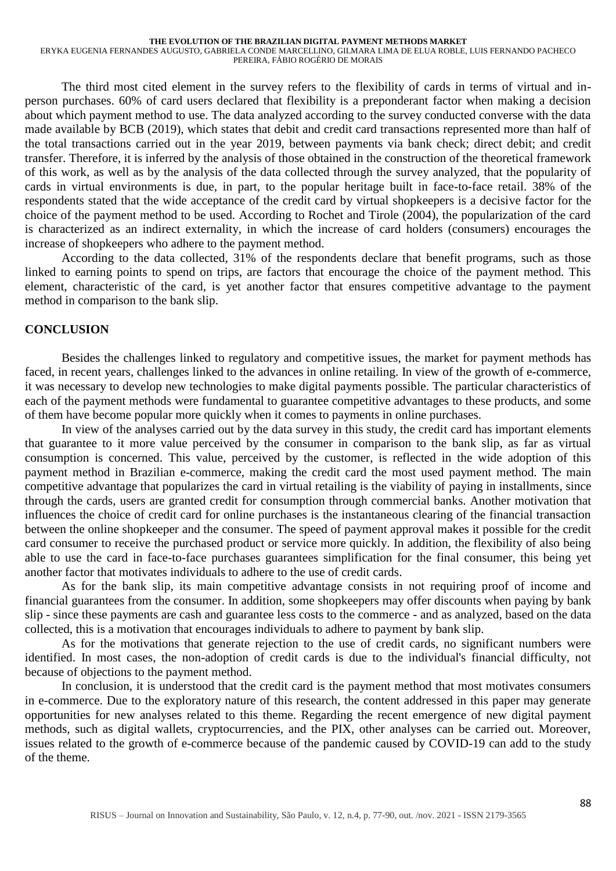ERYKA EUGENIA FERNANDES AUGUSTO, GABRIELA CONDE MARCELLINO, GILMARA LIMA DE ELUA ROBLE, LUIS FERNANDO PACHECO PEREIRA, FÁBIO ROGÉRIO DE MORAIS

The third most cited element in the survey refers to the flexibility of cards in terms of virtual and inperson purchases. 60% of card users declared that flexibility is a preponderant factor when making a decision about which payment method to use. The data analyzed according to the survey conducted converse with the data made available by BCB (2019), which states that debit and credit card transactions represented more than half of the total transactions carried out in the year 2019, between payments via bank check; direct debit; and credit transfer. Therefore, it is inferred by the analysis of those obtained in the construction of the theoretical framework of this work, as well as by the analysis of the data collected through the survey analyzed, that the popularity of cards in virtual environments is due, in part, to the popular heritage built in face-to-face retail. 38% of the respondents stated that the wide acceptance of the credit card by virtual shopkeepers is a decisive factor for the choice of the payment method to be used. According to Rochet and Tirole (2004), the popularization of the card is characterized as an indirect externality, in which the increase of card holders (consumers) encourages the increase of shopkeepers who adhere to the payment method.

According to the data collected, 31% of the respondents declare that benefit programs, such as those linked to earning points to spend on trips, are factors that encourage the choice of the payment method. This element, characteristic of the card, is yet another factor that ensures competitive advantage to the payment method in comparison to the bank slip.

#### **CONCLUSION**

Besides the challenges linked to regulatory and competitive issues, the market for payment methods has faced, in recent years, challenges linked to the advances in online retailing. In view of the growth of e-commerce, it was necessary to develop new technologies to make digital payments possible. The particular characteristics of each of the payment methods were fundamental to guarantee competitive advantages to these products, and some of them have become popular more quickly when it comes to payments in online purchases.

In view of the analyses carried out by the data survey in this study, the credit card has important elements that guarantee to it more value perceived by the consumer in comparison to the bank slip, as far as virtual consumption is concerned. This value, perceived by the customer, is reflected in the wide adoption of this payment method in Brazilian e-commerce, making the credit card the most used payment method. The main competitive advantage that popularizes the card in virtual retailing is the viability of paying in installments, since through the cards, users are granted credit for consumption through commercial banks. Another motivation that influences the choice of credit card for online purchases is the instantaneous clearing of the financial transaction between the online shopkeeper and the consumer. The speed of payment approval makes it possible for the credit card consumer to receive the purchased product or service more quickly. In addition, the flexibility of also being able to use the card in face-to-face purchases guarantees simplification for the final consumer, this being yet another factor that motivates individuals to adhere to the use of credit cards.

As for the bank slip, its main competitive advantage consists in not requiring proof of income and financial guarantees from the consumer. In addition, some shopkeepers may offer discounts when paying by bank slip - since these payments are cash and guarantee less costs to the commerce - and as analyzed, based on the data collected, this is a motivation that encourages individuals to adhere to payment by bank slip.

As for the motivations that generate rejection to the use of credit cards, no significant numbers were identified. In most cases, the non-adoption of credit cards is due to the individual's financial difficulty, not because of objections to the payment method.

In conclusion, it is understood that the credit card is the payment method that most motivates consumers in e-commerce. Due to the exploratory nature of this research, the content addressed in this paper may generate opportunities for new analyses related to this theme. Regarding the recent emergence of new digital payment methods, such as digital wallets, cryptocurrencies, and the PIX, other analyses can be carried out. Moreover, issues related to the growth of e-commerce because of the pandemic caused by COVID-19 can add to the study of the theme.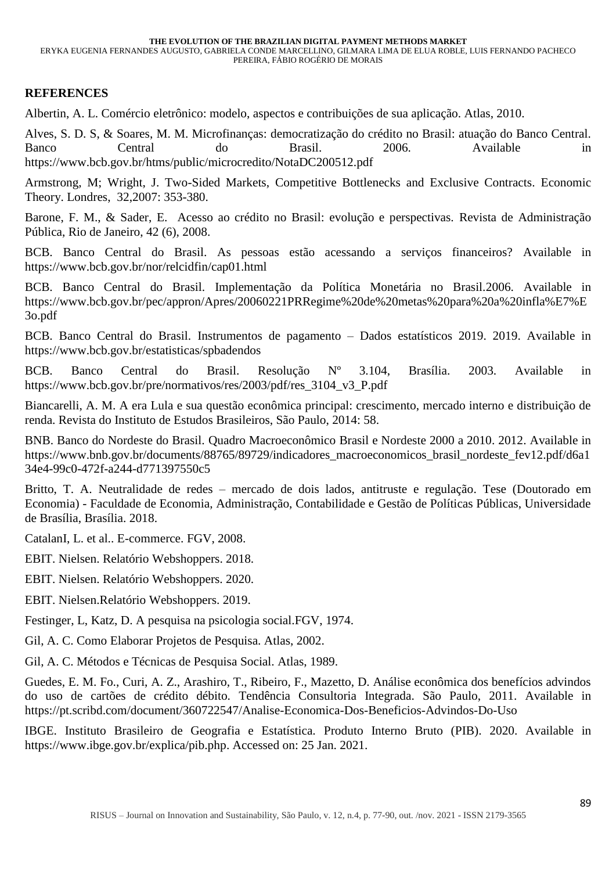ERYKA EUGENIA FERNANDES AUGUSTO, GABRIELA CONDE MARCELLINO, GILMARA LIMA DE ELUA ROBLE, LUIS FERNANDO PACHECO PEREIRA, FÁBIO ROGÉRIO DE MORAIS

### **REFERENCES**

Albertin, A. L. Comércio eletrônico: modelo, aspectos e contribuições de sua aplicação. Atlas, 2010.

Alves, S. D. S, & Soares, M. M. Microfinanças: democratização do crédito no Brasil: atuação do Banco Central. Banco Central do Brasil. 2006. Available in <https://www.bcb.gov.br/htms/public/microcredito/NotaDC200512.pdf>

Armstrong, M; Wright, J. Two-Sided Markets, Competitive Bottlenecks and Exclusive Contracts. Economic Theory. Londres, 32,2007: 353-380.

Barone, F. M., & Sader, E. Acesso ao crédito no Brasil: evolução e perspectivas. Revista de Administração Pública, Rio de Janeiro, 42 (6), 2008.

BCB. Banco Central do Brasil. As pessoas estão acessando a serviços financeiros? Available in <https://www.bcb.gov.br/nor/relcidfin/cap01.html>

BCB. Banco Central do Brasil. Implementação da Política Monetária no Brasil.2006. Available in [https://www.bcb.gov.br/pec/appron/Apres/20060221PRRegime%20de%20metas%20para%20a%20infla%E7%E](https://www.bcb.gov.br/pec/appron/Apres/20060221PRRegime%20de%20metas%20para%20a%20infla%E7%E3o.pdf) [3o.pdf](https://www.bcb.gov.br/pec/appron/Apres/20060221PRRegime%20de%20metas%20para%20a%20infla%E7%E3o.pdf)

BCB. Banco Central do Brasil. Instrumentos de pagamento – Dados estatísticos 2019. 2019. Available in <https://www.bcb.gov.br/estatisticas/spbadendos>

BCB. Banco Central do Brasil. Resolução Nº 3.104, Brasília. 2003. Available in https://www.bcb.gov.br/pre/normativos/res/2003/pdf/res\_3104\_v3\_P.pdf

Biancarelli, A. M. A era Lula e sua questão econômica principal: crescimento, mercado interno e distribuição de renda. Revista do Instituto de Estudos Brasileiros, São Paulo, 2014: 58.

BNB. Banco do Nordeste do Brasil. Quadro Macroeconômico Brasil e Nordeste 2000 a 2010. 2012. Available in https://www.bnb.gov.br/documents/88765/89729/indicadores\_macroeconomicos\_brasil\_nordeste\_fev12.pdf/d6a1 34e4-99c0-472f-a244-d771397550c5

Britto, T. A. Neutralidade de redes – mercado de dois lados, antitruste e regulação. Tese (Doutorado em Economia) - Faculdade de Economia, Administração, Contabilidade e Gestão de Políticas Públicas, Universidade de Brasília, Brasília. 2018.

CatalanI, L. et al.. E-commerce. FGV, 2008.

EBIT. Nielsen. Relatório Webshoppers. 2018.

EBIT. Nielsen. Relatório Webshoppers. 2020.

EBIT. Nielsen.Relatório Webshoppers. 2019.

Festinger, L, Katz, D. A pesquisa na psicologia social.FGV, 1974.

Gil, A. C. Como Elaborar Projetos de Pesquisa. Atlas, 2002.

Gil, A. C. Métodos e Técnicas de Pesquisa Social. Atlas, 1989.

Guedes, E. M. Fo., Curi, A. Z., Arashiro, T., Ribeiro, F., Mazetto, D. Análise econômica dos benefícios advindos do uso de cartões de crédito débito. Tendência Consultoria Integrada. São Paulo, 2011. Available in <https://pt.scribd.com/document/360722547/Analise-Economica-Dos-Beneficios-Advindos-Do-Uso>

IBGE. Instituto Brasileiro de Geografia e Estatística. Produto Interno Bruto (PIB). 2020. Available in [https://www.ibge.gov.br/explica/pib.php.](https://www.ibge.gov.br/explica/pib.php) Accessed on: 25 Jan. 2021.